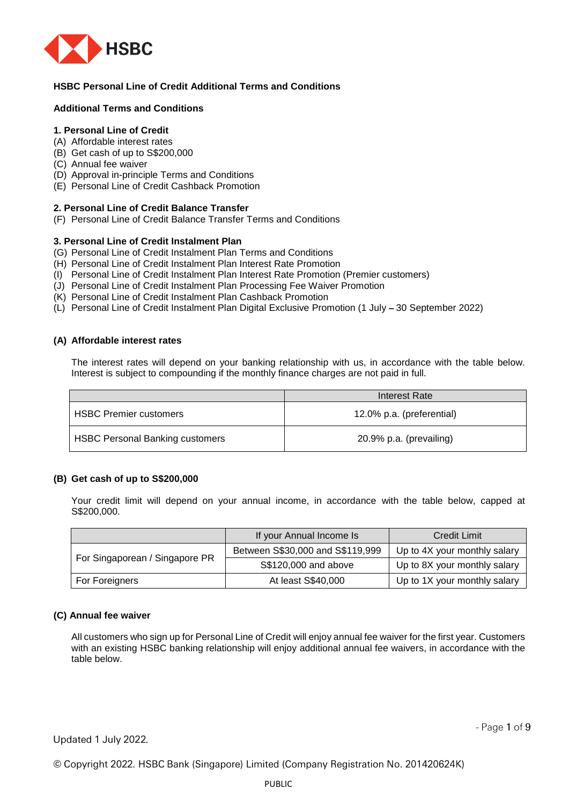

# **HSBC Personal Line of Credit Additional Terms and Conditions**

## **Additional Terms and Conditions**

# **1. Personal Line of Credit**

- (A) Affordable interest rates
- (B) Get cash of up to S\$200,000
- (C) Annual fee waiver
- (D) Approval in-principle Terms and Conditions
- (E) Personal Line of Credit Cashback Promotion

## **2. Personal Line of Credit Balance Transfer**

(F) Personal Line of Credit Balance Transfer Terms and Conditions

## **3. Personal Line of Credit Instalment Plan**

- (G) Personal Line of Credit Instalment Plan Terms and Conditions
- (H) Personal Line of Credit Instalment Plan Interest Rate Promotion
- (I) Personal Line of Credit Instalment Plan Interest Rate Promotion (Premier customers)
- (J) Personal Line of Credit Instalment Plan Processing Fee Waiver Promotion
- (K) Personal Line of Credit Instalment Plan Cashback Promotion
- (L) Personal Line of Credit Instalment Plan Digital Exclusive Promotion (1 July **–** 30 September 2022)

### **(A) Affordable interest rates**

The interest rates will depend on your banking relationship with us, in accordance with the table below. Interest is subject to compounding if the monthly finance charges are not paid in full.

|                                        | Interest Rate             |
|----------------------------------------|---------------------------|
| <b>HSBC Premier customers</b>          | 12.0% p.a. (preferential) |
| <b>HSBC Personal Banking customers</b> | 20.9% p.a. (prevailing)   |

## **(B) Get cash of up to S\$200,000**

Your credit limit will depend on your annual income, in accordance with the table below, capped at S\$200,000.

|                                | If your Annual Income Is         | <b>Credit Limit</b>          |  |
|--------------------------------|----------------------------------|------------------------------|--|
|                                | Between S\$30,000 and S\$119,999 | Up to 4X your monthly salary |  |
| For Singaporean / Singapore PR | S\$120,000 and above             | Up to 8X your monthly salary |  |
| For Foreigners                 | At least S\$40,000               | Up to 1X your monthly salary |  |

## **(C) Annual fee waiver**

All customers who sign up for Personal Line of Credit will enjoy annual fee waiver for the first year. Customers with an existing HSBC banking relationship will enjoy additional annual fee waivers, in accordance with the table below.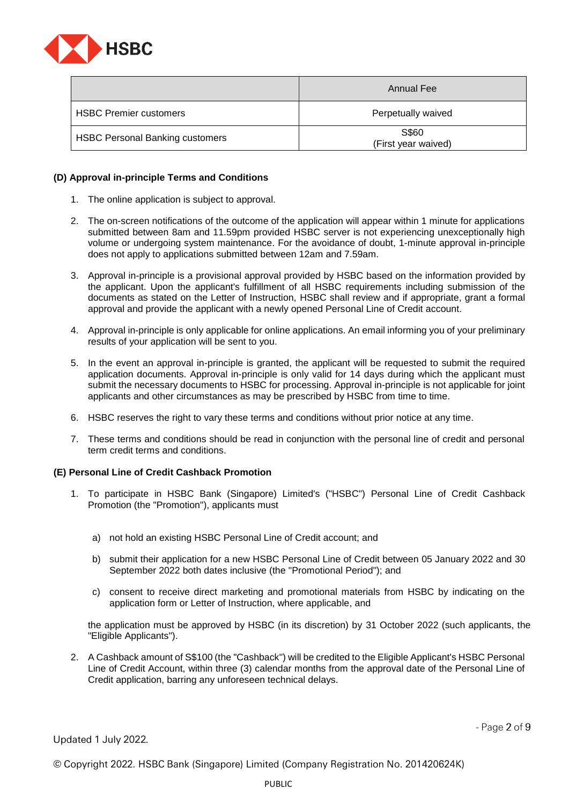

|                                        | Annual Fee                   |
|----------------------------------------|------------------------------|
| <b>HSBC Premier customers</b>          | Perpetually waived           |
| <b>HSBC Personal Banking customers</b> | S\$60<br>(First year waived) |

## **(D) Approval in-principle Terms and Conditions**

- 1. The online application is subject to approval.
- 2. The on-screen notifications of the outcome of the application will appear within 1 minute for applications submitted between 8am and 11.59pm provided HSBC server is not experiencing unexceptionally high volume or undergoing system maintenance. For the avoidance of doubt, 1-minute approval in-principle does not apply to applications submitted between 12am and 7.59am.
- 3. Approval in-principle is a provisional approval provided by HSBC based on the information provided by the applicant. Upon the applicant's fulfillment of all HSBC requirements including submission of the documents as stated on the Letter of Instruction, HSBC shall review and if appropriate, grant a formal approval and provide the applicant with a newly opened Personal Line of Credit account.
- 4. Approval in-principle is only applicable for online applications. An email informing you of your preliminary results of your application will be sent to you.
- 5. In the event an approval in-principle is granted, the applicant will be requested to submit the required application documents. Approval in-principle is only valid for 14 days during which the applicant must submit the necessary documents to HSBC for processing. Approval in-principle is not applicable for joint applicants and other circumstances as may be prescribed by HSBC from time to time.
- 6. HSBC reserves the right to vary these terms and conditions without prior notice at any time.
- 7. These terms and conditions should be read in conjunction with the personal line of credit and personal term credit terms and conditions.

#### **(E) Personal Line of Credit Cashback Promotion**

- 1. To participate in HSBC Bank (Singapore) Limited's ("HSBC") Personal Line of Credit Cashback Promotion (the "Promotion"), applicants must
	- a) not hold an existing HSBC Personal Line of Credit account; and
	- b) submit their application for a new HSBC Personal Line of Credit between 05 January 2022 and 30 September 2022 both dates inclusive (the "Promotional Period"); and
	- c) consent to receive direct marketing and promotional materials from HSBC by indicating on the application form or Letter of Instruction, where applicable, and

the application must be approved by HSBC (in its discretion) by 31 October 2022 (such applicants, the "Eligible Applicants").

2. A Cashback amount of S\$100 (the "Cashback") will be credited to the Eligible Applicant's HSBC Personal Line of Credit Account, within three (3) calendar months from the approval date of the Personal Line of Credit application, barring any unforeseen technical delays.

Updated 1 July 2022.

- Page  $2$  of  $9$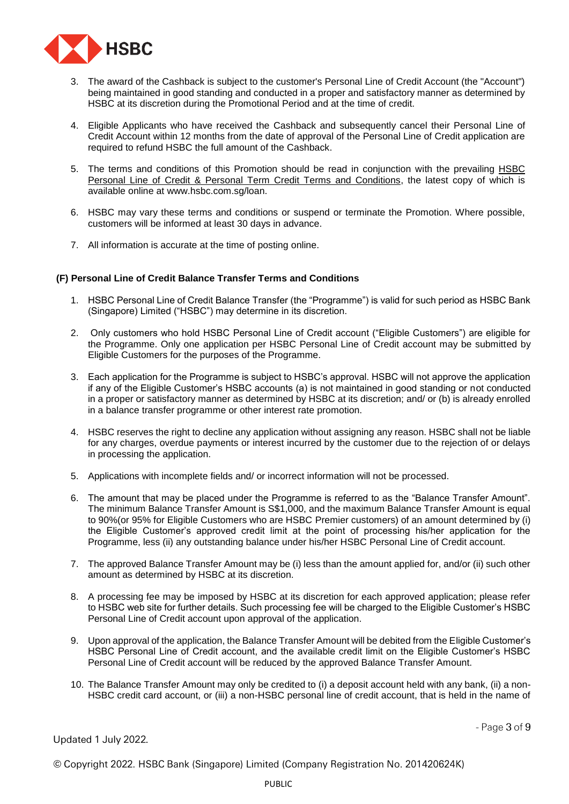

- 3. The award of the Cashback is subject to the customer's Personal Line of Credit Account (the "Account") being maintained in good standing and conducted in a proper and satisfactory manner as determined by HSBC at its discretion during the Promotional Period and at the time of credit.
- 4. Eligible Applicants who have received the Cashback and subsequently cancel their Personal Line of Credit Account within 12 months from the date of approval of the Personal Line of Credit application are required to refund HSBC the full amount of the Cashback.
- 5. The terms and conditions of this Promotion should be read in conjunction with the prevailing [HSBC](https://www.hsbc.com.sg/content/dam/hsbc/sg/documents/personal-line-of-credit-personal-term-terms-conditions.pdf)  Personal Line of [Credit & Personal Term Credit Terms and Conditions,](https://www.hsbc.com.sg/content/dam/hsbc/sg/documents/personal-line-of-credit-personal-term-terms-conditions.pdf) the latest copy of which is available online at www.hsbc.com.sg/loan.
- 6. HSBC may vary these terms and conditions or suspend or terminate the Promotion. Where possible, customers will be informed at least 30 days in advance.
- 7. All information is accurate at the time of posting online.

### **(F) Personal Line of Credit Balance Transfer Terms and Conditions**

- 1. HSBC Personal Line of Credit Balance Transfer (the "Programme") is valid for such period as HSBC Bank (Singapore) Limited ("HSBC") may determine in its discretion.
- 2. Only customers who hold HSBC Personal Line of Credit account ("Eligible Customers") are eligible for the Programme. Only one application per HSBC Personal Line of Credit account may be submitted by Eligible Customers for the purposes of the Programme.
- 3. Each application for the Programme is subject to HSBC's approval. HSBC will not approve the application if any of the Eligible Customer's HSBC accounts (a) is not maintained in good standing or not conducted in a proper or satisfactory manner as determined by HSBC at its discretion; and/ or (b) is already enrolled in a balance transfer programme or other interest rate promotion.
- 4. HSBC reserves the right to decline any application without assigning any reason. HSBC shall not be liable for any charges, overdue payments or interest incurred by the customer due to the rejection of or delays in processing the application.
- 5. Applications with incomplete fields and/ or incorrect information will not be processed.
- 6. The amount that may be placed under the Programme is referred to as the "Balance Transfer Amount". The minimum Balance Transfer Amount is S\$1,000, and the maximum Balance Transfer Amount is equal to 90%(or 95% for Eligible Customers who are HSBC Premier customers) of an amount determined by (i) the Eligible Customer's approved credit limit at the point of processing his/her application for the Programme, less (ii) any outstanding balance under his/her HSBC Personal Line of Credit account.
- 7. The approved Balance Transfer Amount may be (i) less than the amount applied for, and/or (ii) such other amount as determined by HSBC at its discretion.
- 8. A processing fee may be imposed by HSBC at its discretion for each approved application; please refer to HSBC web site for further details. Such processing fee will be charged to the Eligible Customer's HSBC Personal Line of Credit account upon approval of the application.
- 9. Upon approval of the application, the Balance Transfer Amount will be debited from the Eligible Customer's HSBC Personal Line of Credit account, and the available credit limit on the Eligible Customer's HSBC Personal Line of Credit account will be reduced by the approved Balance Transfer Amount.
- 10. The Balance Transfer Amount may only be credited to (i) a deposit account held with any bank, (ii) a non-HSBC credit card account, or (iii) a non-HSBC personal line of credit account, that is held in the name of

 $-$  Page  $3$  of  $9$ 

Updated 1 July 2022.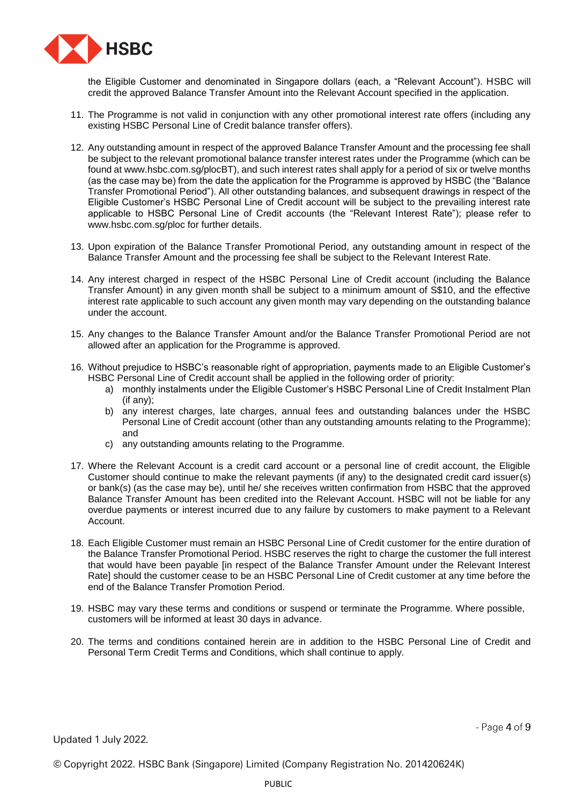

the Eligible Customer and denominated in Singapore dollars (each, a "Relevant Account"). HSBC will credit the approved Balance Transfer Amount into the Relevant Account specified in the application.

- 11. The Programme is not valid in conjunction with any other promotional interest rate offers (including any existing HSBC Personal Line of Credit balance transfer offers).
- 12. Any outstanding amount in respect of the approved Balance Transfer Amount and the processing fee shall be subject to the relevant promotional balance transfer interest rates under the Programme (which can be found at [www.hsbc.com.sg/plocBT\)](http://www.hsbc.com.sg/plocBT), and such interest rates shall apply for a period of six or twelve months (as the case may be) from the date the application for the Programme is approved by HSBC (the "Balance Transfer Promotional Period"). All other outstanding balances, and subsequent drawings in respect of the Eligible Customer's HSBC Personal Line of Credit account will be subject to the prevailing interest rate applicable to HSBC Personal Line of Credit accounts (the "Relevant Interest Rate"); please refer to www.hsbc.com.sg/ploc for further details.
- 13. Upon expiration of the Balance Transfer Promotional Period, any outstanding amount in respect of the Balance Transfer Amount and the processing fee shall be subject to the Relevant Interest Rate.
- 14. Any interest charged in respect of the HSBC Personal Line of Credit account (including the Balance Transfer Amount) in any given month shall be subject to a minimum amount of S\$10, and the effective interest rate applicable to such account any given month may vary depending on the outstanding balance under the account.
- 15. Any changes to the Balance Transfer Amount and/or the Balance Transfer Promotional Period are not allowed after an application for the Programme is approved.
- 16. Without prejudice to HSBC's reasonable right of appropriation, payments made to an Eligible Customer's HSBC Personal Line of Credit account shall be applied in the following order of priority:
	- a) monthly instalments under the Eligible Customer's HSBC Personal Line of Credit Instalment Plan (if any);
	- b) any interest charges, late charges, annual fees and outstanding balances under the HSBC Personal Line of Credit account (other than any outstanding amounts relating to the Programme); and
	- c) any outstanding amounts relating to the Programme.
- 17. Where the Relevant Account is a credit card account or a personal line of credit account, the Eligible Customer should continue to make the relevant payments (if any) to the designated credit card issuer(s) or bank(s) (as the case may be), until he/ she receives written confirmation from HSBC that the approved Balance Transfer Amount has been credited into the Relevant Account. HSBC will not be liable for any overdue payments or interest incurred due to any failure by customers to make payment to a Relevant Account.
- 18. Each Eligible Customer must remain an HSBC Personal Line of Credit customer for the entire duration of the Balance Transfer Promotional Period. HSBC reserves the right to charge the customer the full interest that would have been payable [in respect of the Balance Transfer Amount under the Relevant Interest Rate] should the customer cease to be an HSBC Personal Line of Credit customer at any time before the end of the Balance Transfer Promotion Period.
- 19. HSBC may vary these terms and conditions or suspend or terminate the Programme. Where possible, customers will be informed at least 30 days in advance.
- 20. The terms and conditions contained herein are in addition to the HSBC Personal Line of Credit and Personal Term Credit Terms and Conditions, which shall continue to apply.

Updated 1 July 2022.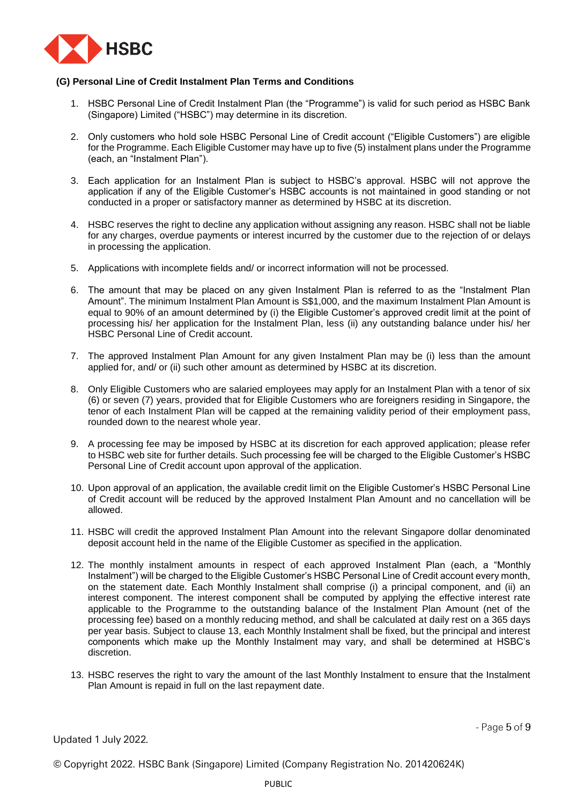

## **(G) Personal Line of Credit Instalment Plan Terms and Conditions**

- 1. HSBC Personal Line of Credit Instalment Plan (the "Programme") is valid for such period as HSBC Bank (Singapore) Limited ("HSBC") may determine in its discretion.
- 2. Only customers who hold sole HSBC Personal Line of Credit account ("Eligible Customers") are eligible for the Programme. Each Eligible Customer may have up to five (5) instalment plans under the Programme (each, an "Instalment Plan").
- 3. Each application for an Instalment Plan is subject to HSBC's approval. HSBC will not approve the application if any of the Eligible Customer's HSBC accounts is not maintained in good standing or not conducted in a proper or satisfactory manner as determined by HSBC at its discretion.
- 4. HSBC reserves the right to decline any application without assigning any reason. HSBC shall not be liable for any charges, overdue payments or interest incurred by the customer due to the rejection of or delays in processing the application.
- 5. Applications with incomplete fields and/ or incorrect information will not be processed.
- 6. The amount that may be placed on any given Instalment Plan is referred to as the "Instalment Plan Amount". The minimum Instalment Plan Amount is S\$1,000, and the maximum Instalment Plan Amount is equal to 90% of an amount determined by (i) the Eligible Customer's approved credit limit at the point of processing his/ her application for the Instalment Plan, less (ii) any outstanding balance under his/ her HSBC Personal Line of Credit account.
- 7. The approved Instalment Plan Amount for any given Instalment Plan may be (i) less than the amount applied for, and/ or (ii) such other amount as determined by HSBC at its discretion.
- 8. Only Eligible Customers who are salaried employees may apply for an Instalment Plan with a tenor of six (6) or seven (7) years, provided that for Eligible Customers who are foreigners residing in Singapore, the tenor of each Instalment Plan will be capped at the remaining validity period of their employment pass, rounded down to the nearest whole year.
- 9. A processing fee may be imposed by HSBC at its discretion for each approved application; please refer to HSBC web site for further details. Such processing fee will be charged to the Eligible Customer's HSBC Personal Line of Credit account upon approval of the application.
- 10. Upon approval of an application, the available credit limit on the Eligible Customer's HSBC Personal Line of Credit account will be reduced by the approved Instalment Plan Amount and no cancellation will be allowed.
- 11. HSBC will credit the approved Instalment Plan Amount into the relevant Singapore dollar denominated deposit account held in the name of the Eligible Customer as specified in the application.
- 12. The monthly instalment amounts in respect of each approved Instalment Plan (each, a "Monthly Instalment") will be charged to the Eligible Customer's HSBC Personal Line of Credit account every month, on the statement date. Each Monthly Instalment shall comprise (i) a principal component, and (ii) an interest component. The interest component shall be computed by applying the effective interest rate applicable to the Programme to the outstanding balance of the Instalment Plan Amount (net of the processing fee) based on a monthly reducing method, and shall be calculated at daily rest on a 365 days per year basis. Subject to clause 13, each Monthly Instalment shall be fixed, but the principal and interest components which make up the Monthly Instalment may vary, and shall be determined at HSBC's discretion.
- 13. HSBC reserves the right to vary the amount of the last Monthly Instalment to ensure that the Instalment Plan Amount is repaid in full on the last repayment date.

Updated 1 July 2022.

- Page  $5$  of  $9$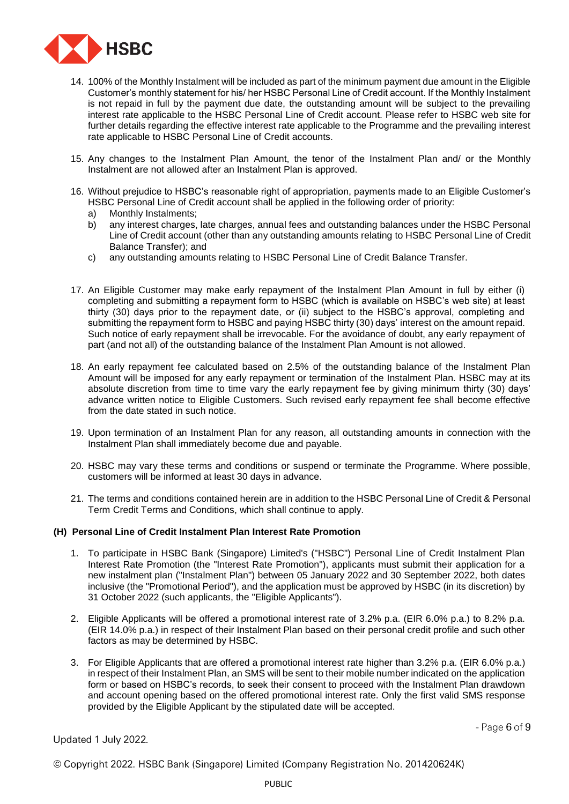

- 14. 100% of the Monthly Instalment will be included as part of the minimum payment due amount in the Eligible Customer's monthly statement for his/ her HSBC Personal Line of Credit account. If the Monthly Instalment is not repaid in full by the payment due date, the outstanding amount will be subject to the prevailing interest rate applicable to the HSBC Personal Line of Credit account. Please refer to HSBC web site for further details regarding the effective interest rate applicable to the Programme and the prevailing interest rate applicable to HSBC Personal Line of Credit accounts.
- 15. Any changes to the Instalment Plan Amount, the tenor of the Instalment Plan and/ or the Monthly Instalment are not allowed after an Instalment Plan is approved.
- 16. Without prejudice to HSBC's reasonable right of appropriation, payments made to an Eligible Customer's HSBC Personal Line of Credit account shall be applied in the following order of priority:
	- a) Monthly Instalments;
	- b) any interest charges, late charges, annual fees and outstanding balances under the HSBC Personal Line of Credit account (other than any outstanding amounts relating to HSBC Personal Line of Credit Balance Transfer); and
	- c) any outstanding amounts relating to HSBC Personal Line of Credit Balance Transfer.
- 17. An Eligible Customer may make early repayment of the Instalment Plan Amount in full by either (i) completing and submitting a repayment form to HSBC (which is available on HSBC's web site) at least thirty (30) days prior to the repayment date, or (ii) subject to the HSBC's approval, completing and submitting the repayment form to HSBC and paying HSBC thirty (30) days' interest on the amount repaid. Such notice of early repayment shall be irrevocable. For the avoidance of doubt, any early repayment of part (and not all) of the outstanding balance of the Instalment Plan Amount is not allowed.
- 18. An early repayment fee calculated based on 2.5% of the outstanding balance of the Instalment Plan Amount will be imposed for any early repayment or termination of the Instalment Plan. HSBC may at its absolute discretion from time to time vary the early repayment fee by giving minimum thirty (30) days' advance written notice to Eligible Customers. Such revised early repayment fee shall become effective from the date stated in such notice.
- 19. Upon termination of an Instalment Plan for any reason, all outstanding amounts in connection with the Instalment Plan shall immediately become due and payable.
- 20. HSBC may vary these terms and conditions or suspend or terminate the Programme. Where possible, customers will be informed at least 30 days in advance.
- 21. The terms and conditions contained herein are in addition to the HSBC Personal Line of Credit & Personal Term Credit Terms and Conditions, which shall continue to apply.

## **(H) Personal Line of Credit Instalment Plan Interest Rate Promotion**

- 1. To participate in HSBC Bank (Singapore) Limited's ("HSBC") Personal Line of Credit Instalment Plan Interest Rate Promotion (the "Interest Rate Promotion"), applicants must submit their application for a new instalment plan ("Instalment Plan") between 05 January 2022 and 30 September 2022, both dates inclusive (the "Promotional Period"), and the application must be approved by HSBC (in its discretion) by 31 October 2022 (such applicants, the "Eligible Applicants").
- 2. Eligible Applicants will be offered a promotional interest rate of 3.2% p.a. (EIR 6.0% p.a.) to 8.2% p.a. (EIR 14.0% p.a.) in respect of their Instalment Plan based on their personal credit profile and such other factors as may be determined by HSBC.
- 3. For Eligible Applicants that are offered a promotional interest rate higher than 3.2% p.a. (EIR 6.0% p.a.) in respect of their Instalment Plan, an SMS will be sent to their mobile number indicated on the application form or based on HSBC's records, to seek their consent to proceed with the Instalment Plan drawdown and account opening based on the offered promotional interest rate. Only the first valid SMS response provided by the Eligible Applicant by the stipulated date will be accepted.

- Page  $6$  of  $9$ 

Updated 1 July 2022.

© Copyright 2022. HSBC Bank (Singapore) Limited (Company Registration No. 201420624K)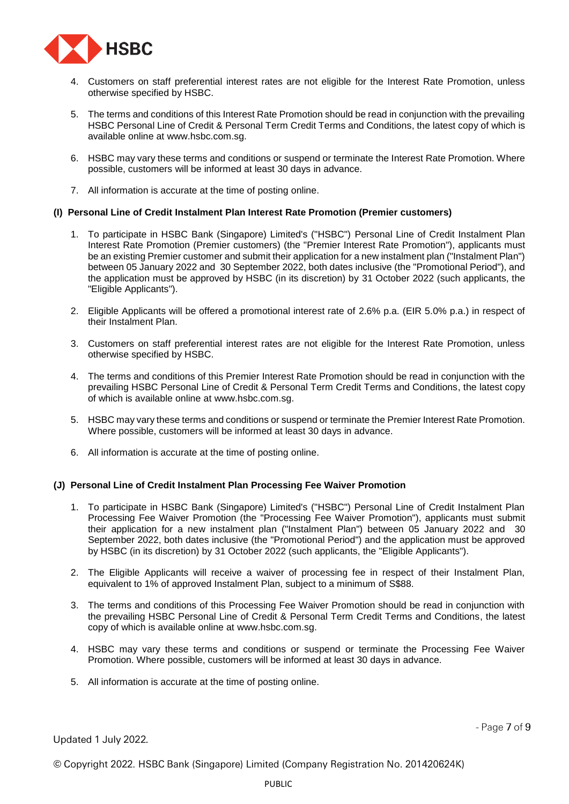

- 4. Customers on staff preferential interest rates are not eligible for the Interest Rate Promotion, unless otherwise specified by HSBC.
- 5. The terms and conditions of this Interest Rate Promotion should be read in conjunction with the prevailing [HSBC Personal Line of Credit & Personal Term Credit Terms and Conditions,](https://www.hsbc.com.sg/content/dam/hsbc/sg/documents/personal-line-of-credit-personal-term-terms-conditions.pdf) the latest copy of which is available online at [www.hsbc.com.sg.](http://www.hsbc.com.sg/)
- 6. HSBC may vary these terms and conditions or suspend or terminate the Interest Rate Promotion. Where possible, customers will be informed at least 30 days in advance.
- 7. All information is accurate at the time of posting online.

### **(I) Personal Line of Credit Instalment Plan Interest Rate Promotion (Premier customers)**

- 1. To participate in HSBC Bank (Singapore) Limited's ("HSBC") Personal Line of Credit Instalment Plan Interest Rate Promotion (Premier customers) (the "Premier Interest Rate Promotion"), applicants must be an existing Premier customer and submit their application for a new instalment plan ("Instalment Plan") between 05 January 2022 and 30 September 2022, both dates inclusive (the "Promotional Period"), and the application must be approved by HSBC (in its discretion) by 31 October 2022 (such applicants, the "Eligible Applicants").
- 2. Eligible Applicants will be offered a promotional interest rate of 2.6% p.a. (EIR 5.0% p.a.) in respect of their Instalment Plan.
- 3. Customers on staff preferential interest rates are not eligible for the Interest Rate Promotion, unless otherwise specified by HSBC.
- 4. The terms and conditions of this Premier Interest Rate Promotion should be read in conjunction with the prevailing [HSBC Personal Line of Credit & Personal Term Credit Terms and Conditions,](https://www.hsbc.com.sg/content/dam/hsbc/sg/documents/personal-line-of-credit-personal-term-terms-conditions.pdf) the latest copy of which is available online at [www.hsbc.com.sg.](http://www.hsbc.com.sg/)
- 5. HSBC may vary these terms and conditions or suspend or terminate the Premier Interest Rate Promotion. Where possible, customers will be informed at least 30 days in advance.
- 6. All information is accurate at the time of posting online.

### **(J) Personal Line of Credit Instalment Plan Processing Fee Waiver Promotion**

- 1. To participate in HSBC Bank (Singapore) Limited's ("HSBC") Personal Line of Credit Instalment Plan Processing Fee Waiver Promotion (the "Processing Fee Waiver Promotion"), applicants must submit their application for a new instalment plan ("Instalment Plan") between 05 January 2022 and 30 September 2022, both dates inclusive (the "Promotional Period") and the application must be approved by HSBC (in its discretion) by 31 October 2022 (such applicants, the "Eligible Applicants").
- 2. The Eligible Applicants will receive a waiver of processing fee in respect of their Instalment Plan, equivalent to 1% of approved Instalment Plan, subject to a minimum of S\$88.
- 3. The terms and conditions of this Processing Fee Waiver Promotion should be read in conjunction with the prevailing [HSBC Personal Line of Credit & Personal Term Credit Terms and Conditions,](https://www.hsbc.com.sg/content/dam/hsbc/sg/documents/personal-line-of-credit-personal-term-terms-conditions.pdf) the latest copy of which is available online at [www.hsbc.com.sg.](http://www.hsbc.com.sg/)
- 4. HSBC may vary these terms and conditions or suspend or terminate the Processing Fee Waiver Promotion. Where possible, customers will be informed at least 30 days in advance.
- 5. All information is accurate at the time of posting online.

- Page  $7$  of  $9$ 

Updated 1 July 2022.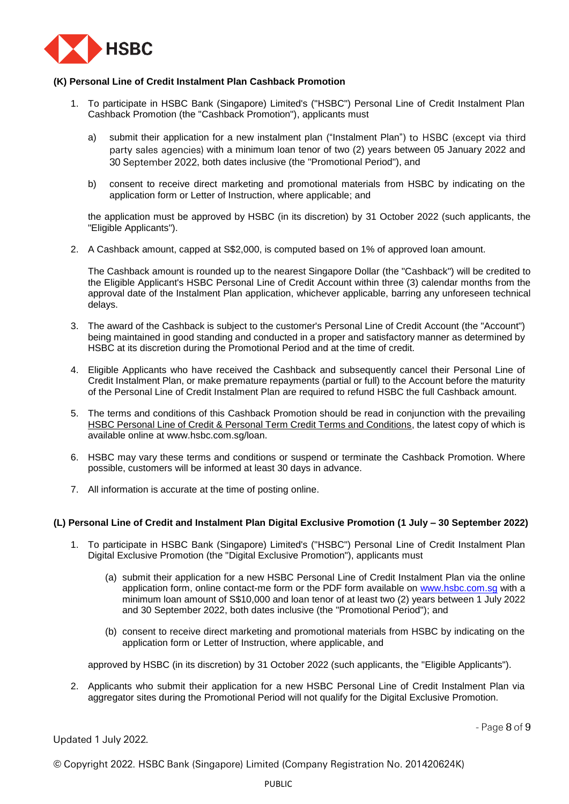

## **(K) Personal Line of Credit Instalment Plan Cashback Promotion**

- 1. To participate in HSBC Bank (Singapore) Limited's ("HSBC") Personal Line of Credit Instalment Plan Cashback Promotion (the "Cashback Promotion"), applicants must
	- a) submit their application for a new instalment plan ("Instalment Plan") to HSBC (except via third party sales agencies) with a minimum loan tenor of two (2) years between 05 January 2022 and 30 September 2022, both dates inclusive (the "Promotional Period"), and
	- b) consent to receive direct marketing and promotional materials from HSBC by indicating on the application form or Letter of Instruction, where applicable; and

the application must be approved by HSBC (in its discretion) by 31 October 2022 (such applicants, the "Eligible Applicants").

2. A Cashback amount, capped at S\$2,000, is computed based on 1% of approved loan amount.

The Cashback amount is rounded up to the nearest Singapore Dollar (the "Cashback") will be credited to the Eligible Applicant's HSBC Personal Line of Credit Account within three (3) calendar months from the approval date of the Instalment Plan application, whichever applicable, barring any unforeseen technical delays.

- 3. The award of the Cashback is subject to the customer's Personal Line of Credit Account (the "Account") being maintained in good standing and conducted in a proper and satisfactory manner as determined by HSBC at its discretion during the Promotional Period and at the time of credit.
- 4. Eligible Applicants who have received the Cashback and subsequently cancel their Personal Line of Credit Instalment Plan, or make premature repayments (partial or full) to the Account before the maturity of the Personal Line of Credit Instalment Plan are required to refund HSBC the full Cashback amount.
- 5. The terms and conditions of this Cashback Promotion should be read in conjunction with the prevailing [HSBC Personal Line of Credit & Personal Term Credit Terms and Conditions,](https://www.hsbc.com.sg/content/dam/hsbc/sg/documents/personal-line-of-credit-personal-term-terms-conditions.pdf) the latest copy of which is available online at [www.hsbc.com.sg/loan.](http://www.hsbc.com.sg/loan)
- 6. HSBC may vary these terms and conditions or suspend or terminate the Cashback Promotion. Where possible, customers will be informed at least 30 days in advance.
- 7. All information is accurate at the time of posting online.

## **(L) Personal Line of Credit and Instalment Plan Digital Exclusive Promotion (1 July – 30 September 2022)**

- 1. To participate in HSBC Bank (Singapore) Limited's ("HSBC") Personal Line of Credit Instalment Plan Digital Exclusive Promotion (the "Digital Exclusive Promotion"), applicants must
	- (a) submit their application for a new HSBC Personal Line of Credit Instalment Plan via the online application form, online contact-me form or the PDF form available on [www.hsbc.com.sg](http://www.hsbc.com.sg/) with a minimum loan amount of S\$10,000 and loan tenor of at least two (2) years between 1 July 2022 and 30 September 2022, both dates inclusive (the "Promotional Period"); and
	- (b) consent to receive direct marketing and promotional materials from HSBC by indicating on the application form or Letter of Instruction, where applicable, and

approved by HSBC (in its discretion) by 31 October 2022 (such applicants, the "Eligible Applicants").

2. Applicants who submit their application for a new HSBC Personal Line of Credit Instalment Plan via aggregator sites during the Promotional Period will not qualify for the Digital Exclusive Promotion.

Updated 1 July 2022.

- Page  $8$  of  $9$ 

| © Copyright 2022. HSBC Bank (Singapore) Limited (Company Registration No. 201420624K) |  |  |  |
|---------------------------------------------------------------------------------------|--|--|--|
|                                                                                       |  |  |  |